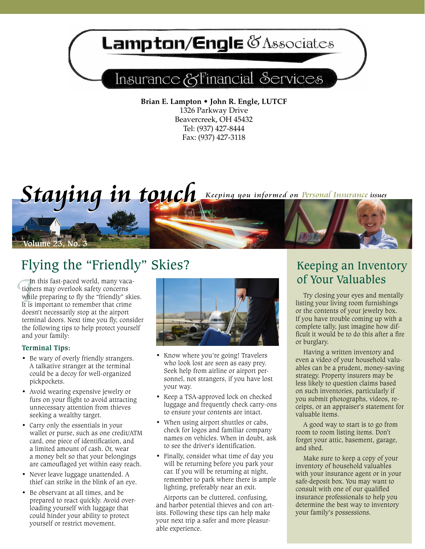# **Lampton/Engle @Associates**

## Insurance & Financial Services

**Brian E. Lampton • John R. Engle, LUTCF** 1326 Parkway Drive Beavercreek, OH 45432 Tel: (937) 427-8444 Fax: (937) 427-3118

# *Staying in touch* Keeping you informed on Personal Insurance issues

## Flying the "Friendly" Skies?

*I* In this fast-paced world, many vacationers may overlook safety concerns while preparing to fly the "friendly" skies. It is important to remember that crime doesn't necessarily stop at the airport terminal doors. Next time you fly, consider the following tips to help protect yourself and your family:

## **Terminal Tips:**

**Lume 23, No.** 

- Be wary of overly friendly strangers. A talkative stranger at the terminal could be a decoy for well-organized pickpockets.
- Avoid wearing expensive jewelry or furs on your flight to avoid attracting unnecessary attention from thieves seeking a wealthy target.
- Carry only the essentials in your wallet or purse, such as one credit/ATM card, one piece of identification, and a limited amount of cash. Or, wear a money belt so that your belongings are camouflaged yet within easy reach.
- • Never leave luggage unattended. A thief can strike in the blink of an eye.
- • Be observant at all times, and be prepared to react quickly. Avoid overloading yourself with luggage that could hinder your ability to protect yourself or restrict movement.



- Know where you're going! Travelers who look lost are seen as easy prey. Seek help from airline or airport personnel, not strangers, if you have lost your way.
- Keep a TSA-approved lock on checked luggage and frequently check carry-ons to ensure your contents are intact.
- When using airport shuttles or cabs, check for logos and familiar company names on vehicles. When in doubt, ask to see the driver's identification.
- Finally, consider what time of day you will be returning before you park your car. If you will be returning at night, remember to park where there is ample lighting, preferably near an exit.

Airports can be cluttered, confusing, and harbor potential thieves and con artists. Following these tips can help make your next trip a safer and more pleasurable experience.

## Keeping an Inventory of Your Valuables

Try closing your eyes and mentally listing your living room furnishings or the contents of your jewelry box. If you have trouble coming up with a complete tally, just imagine how difficult it would be to do this after a fire or burglary.

Having a written inventory and even a video of your household valuables can be a prudent, money-saving strategy. Property insurers may be less likely to question claims based on such inventories, particularly if you submit photographs, videos, receipts, or an appraiser's statement for valuable items.

A good way to start is to go from room to room listing items. Don't forget your attic, basement, garage, and shed.

Make sure to keep a copy of your inventory of household valuables with your insurance agent or in your safe-deposit box. You may want to consult with one of our qualified insurance professionals to help you determine the best way to inventory your family's possessions.